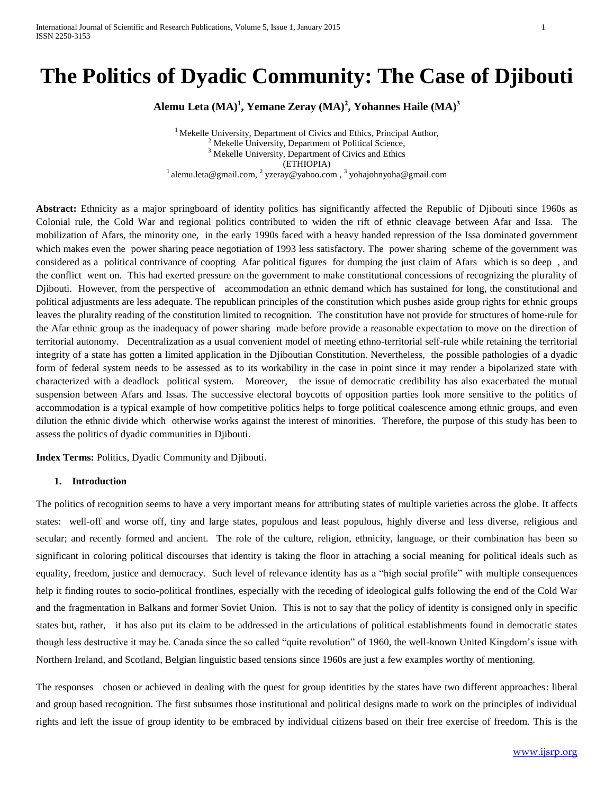# **The Politics of Dyadic Community: The Case of Djibouti**

**Alemu Leta (MA) 1 , Yemane Zeray (MA) 2 , Yohannes Haile (MA) 3** 

<sup>1</sup> Mekelle University, Department of Civics and Ethics, Principal Author,  $2$  Mekelle University, Department of Political Science, <sup>3</sup> Mekelle University, Department of Civics and Ethics (ETHIOPIA) <sup>1</sup> [alemu.leta@gmail.com,](mailto:alemu.leta@gmail.com) <sup>2</sup> [yzeray@yahoo.com](mailto:yzeray@yahoo.com), <sup>3</sup> [yohajohnyoha@gmail.com](mailto:yohajohnyoha@gmail.com)

**Abstract:** Ethnicity as a major springboard of identity politics has significantly affected the Republic of Djibouti since 1960s as Colonial rule, the Cold War and regional politics contributed to widen the rift of ethnic cleavage between Afar and Issa. The mobilization of Afars, the minority one, in the early 1990s faced with a heavy handed repression of the Issa dominated government which makes even the power sharing peace negotiation of 1993 less satisfactory. The power sharing scheme of the government was considered as a political contrivance of coopting Afar political figures for dumping the just claim of Afars which is so deep , and the conflict went on. This had exerted pressure on the government to make constitutional concessions of recognizing the plurality of Djibouti. However, from the perspective of accommodation an ethnic demand which has sustained for long, the constitutional and political adjustments are less adequate. The republican principles of the constitution which pushes aside group rights for ethnic groups leaves the plurality reading of the constitution limited to recognition. The constitution have not provide for structures of home-rule for the Afar ethnic group as the inadequacy of power sharing made before provide a reasonable expectation to move on the direction of territorial autonomy. Decentralization as a usual convenient model of meeting ethno-territorial self-rule while retaining the territorial integrity of a state has gotten a limited application in the Djiboutian Constitution. Nevertheless, the possible pathologies of a dyadic form of federal system needs to be assessed as to its workability in the case in point since it may render a bipolarized state with characterized with a deadlock political system. Moreover, the issue of democratic credibility has also exacerbated the mutual suspension between Afars and Issas. The successive electoral boycotts of opposition parties look more sensitive to the politics of accommodation is a typical example of how competitive politics helps to forge political coalescence among ethnic groups, and even dilution the ethnic divide which otherwise works against the interest of minorities. Therefore, the purpose of this study has been to assess the politics of dyadic communities in Djibouti.

**Index Terms:** Politics, Dyadic Community and Djibouti.

#### **1. Introduction**

The politics of recognition seems to have a very important means for attributing states of multiple varieties across the globe. It affects states: well-off and worse off, tiny and large states, populous and least populous, highly diverse and less diverse, religious and secular; and recently formed and ancient. The role of the culture, religion, ethnicity, language, or their combination has been so significant in coloring political discourses that identity is taking the floor in attaching a social meaning for political ideals such as equality, freedom, justice and democracy. Such level of relevance identity has as a "high social profile" with multiple consequences help it finding routes to socio-political frontlines, especially with the receding of ideological gulfs following the end of the Cold War and the fragmentation in Balkans and former Soviet Union. This is not to say that the policy of identity is consigned only in specific states but, rather, it has also put its claim to be addressed in the articulations of political establishments found in democratic states though less destructive it may be. Canada since the so called "quite revolution" of 1960, the well-known United Kingdom's issue with Northern Ireland, and Scotland, Belgian linguistic based tensions since 1960s are just a few examples worthy of mentioning.

The responses chosen or achieved in dealing with the quest for group identities by the states have two different approaches: liberal and group based recognition. The first subsumes those institutional and political designs made to work on the principles of individual rights and left the issue of group identity to be embraced by individual citizens based on their free exercise of freedom. This is the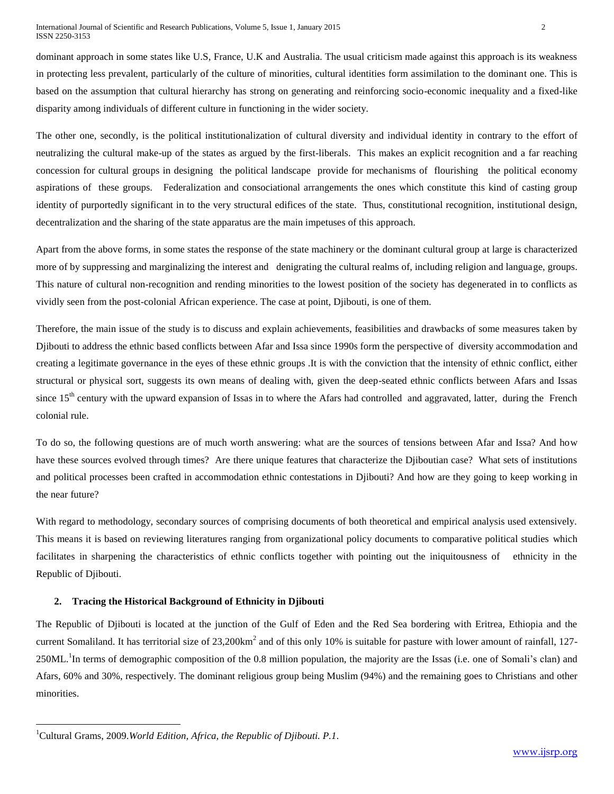dominant approach in some states like U.S, France, U.K and Australia. The usual criticism made against this approach is its weakness in protecting less prevalent, particularly of the culture of minorities, cultural identities form assimilation to the dominant one. This is based on the assumption that cultural hierarchy has strong on generating and reinforcing socio-economic inequality and a fixed-like disparity among individuals of different culture in functioning in the wider society.

The other one, secondly, is the political institutionalization of cultural diversity and individual identity in contrary to the effort of neutralizing the cultural make-up of the states as argued by the first-liberals. This makes an explicit recognition and a far reaching concession for cultural groups in designing the political landscape provide for mechanisms of flourishing the political economy aspirations of these groups. Federalization and consociational arrangements the ones which constitute this kind of casting group identity of purportedly significant in to the very structural edifices of the state. Thus, constitutional recognition, institutional design, decentralization and the sharing of the state apparatus are the main impetuses of this approach.

Apart from the above forms, in some states the response of the state machinery or the dominant cultural group at large is characterized more of by suppressing and marginalizing the interest and denigrating the cultural realms of, including religion and language, groups. This nature of cultural non-recognition and rending minorities to the lowest position of the society has degenerated in to conflicts as vividly seen from the post-colonial African experience. The case at point, Djibouti, is one of them.

Therefore, the main issue of the study is to discuss and explain achievements, feasibilities and drawbacks of some measures taken by Djibouti to address the ethnic based conflicts between Afar and Issa since 1990s form the perspective of diversity accommodation and creating a legitimate governance in the eyes of these ethnic groups .It is with the conviction that the intensity of ethnic conflict, either structural or physical sort, suggests its own means of dealing with, given the deep-seated ethnic conflicts between Afars and Issas since  $15<sup>th</sup>$  century with the upward expansion of Issas in to where the Afars had controlled and aggravated, latter, during the French colonial rule.

To do so, the following questions are of much worth answering: what are the sources of tensions between Afar and Issa? And how have these sources evolved through times? Are there unique features that characterize the Djiboutian case? What sets of institutions and political processes been crafted in accommodation ethnic contestations in Djibouti? And how are they going to keep working in the near future?

With regard to methodology, secondary sources of comprising documents of both theoretical and empirical analysis used extensively. This means it is based on reviewing literatures ranging from organizational policy documents to comparative political studies which facilitates in sharpening the characteristics of ethnic conflicts together with pointing out the iniquitousness of ethnicity in the Republic of Djibouti.

# **2. Tracing the Historical Background of Ethnicity in Djibouti**

The Republic of Djibouti is located at the junction of the Gulf of Eden and the Red Sea bordering with Eritrea, Ethiopia and the current Somaliland. It has territorial size of  $23,200 \text{km}^2$  and of this only 10% is suitable for pasture with lower amount of rainfall, 127-250ML.<sup>1</sup>In terms of demographic composition of the 0.8 million population, the majority are the Issas (i.e. one of Somali's clan) and Afars, 60% and 30%, respectively. The dominant religious group being Muslim (94%) and the remaining goes to Christians and other minorities.

 $\overline{\phantom{a}}$ 

<sup>1</sup>Cultural Grams, 2009.*World Edition, Africa, the Republic of Djibouti. P.1.*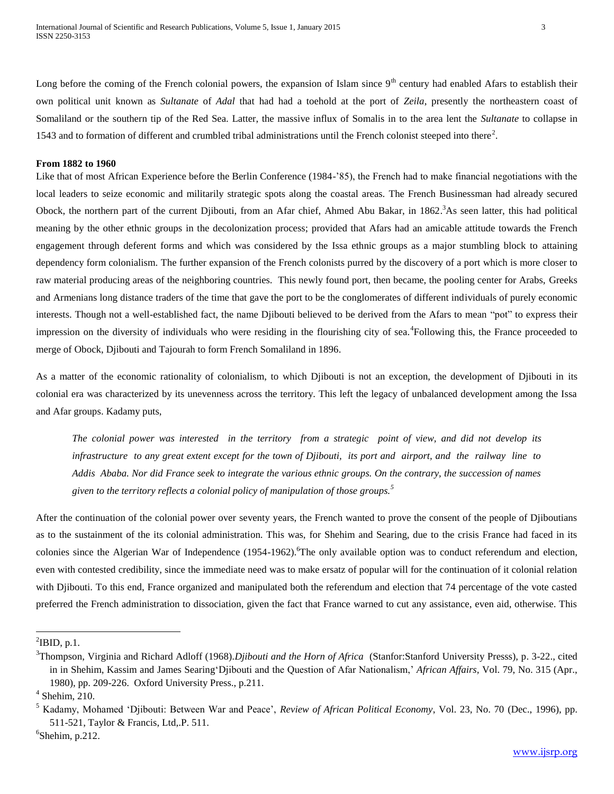Long before the coming of the French colonial powers, the expansion of Islam since  $9<sup>th</sup>$  century had enabled Afars to establish their own political unit known as *Sultanate* of *Adal* that had had a toehold at the port of *Zeila*, presently the northeastern coast of Somaliland or the southern tip of the Red Sea. Latter, the massive influx of Somalis in to the area lent the *Sultanate* to collapse in 1543 and to formation of different and crumbled tribal administrations until the French colonist steeped into there<sup>2</sup>.

## **From 1882 to 1960**

Like that of most African Experience before the Berlin Conference (1984-'85), the French had to make financial negotiations with the local leaders to seize economic and militarily strategic spots along the coastal areas. The French Businessman had already secured Obock, the northern part of the current Djibouti, from an Afar chief, Ahmed Abu Bakar, in 1862.<sup>3</sup>As seen latter, this had political meaning by the other ethnic groups in the decolonization process; provided that Afars had an amicable attitude towards the French engagement through deferent forms and which was considered by the Issa ethnic groups as a major stumbling block to attaining dependency form colonialism. The further expansion of the French colonists purred by the discovery of a port which is more closer to raw material producing areas of the neighboring countries. This newly found port, then became, the pooling center for Arabs, Greeks and Armenians long distance traders of the time that gave the port to be the conglomerates of different individuals of purely economic interests. Though not a well-established fact, the name Djibouti believed to be derived from the Afars to mean "pot" to express their impression on the diversity of individuals who were residing in the flourishing city of sea.<sup>4</sup>Following this, the France proceeded to merge of Obock, Djibouti and Tajourah to form French Somaliland in 1896.

As a matter of the economic rationality of colonialism, to which Djibouti is not an exception, the development of Djibouti in its colonial era was characterized by its unevenness across the territory. This left the legacy of unbalanced development among the Issa and Afar groups. Kadamy puts,

*The colonial power was interested in the territory from a strategic point of view, and did not develop its infrastructure to any great extent except for the town of Djibouti, its port and airport, and the railway line to Addis Ababa. Nor did France seek to integrate the various ethnic groups. On the contrary, the succession of names given to the territory reflects a colonial policy of manipulation of those groups.<sup>5</sup>*

After the continuation of the colonial power over seventy years, the French wanted to prove the consent of the people of Djiboutians as to the sustainment of the its colonial administration. This was, for Shehim and Searing, due to the crisis France had faced in its colonies since the Algerian War of Independence  $(1954-1962)$ . The only available option was to conduct referendum and election, even with contested credibility, since the immediate need was to make ersatz of popular will for the continuation of it colonial relation with Djibouti. To this end, France organized and manipulated both the referendum and election that 74 percentage of the vote casted preferred the French administration to dissociation, given the fact that France warned to cut any assistance, even aid, otherwise. This

 $\overline{a}$ 

 $6$ Shehim, p.212.

 $\mathrm{^2IBD}$ , p.1.

<sup>3</sup>Thompson, Virginia and Richard Adloff (1968).*Djibouti and the Horn of Africa* (Stanfor:Stanford University Presss), p. 3-22., cited in in Shehim, Kassim and James Searing'Djibouti and the Question of Afar Nationalism,' *African Affairs,* Vol. 79, No. 315 (Apr., 1980), pp. 209-226. Oxford University Press., p.211.

<sup>4</sup> Shehim, 210.

<sup>5</sup> Kadamy, Mohamed 'Djibouti: Between War and Peace', *Review of African Political Economy*, Vol. 23, No. 70 (Dec., 1996), pp. 511-521, Taylor & Francis, Ltd,.P. 511.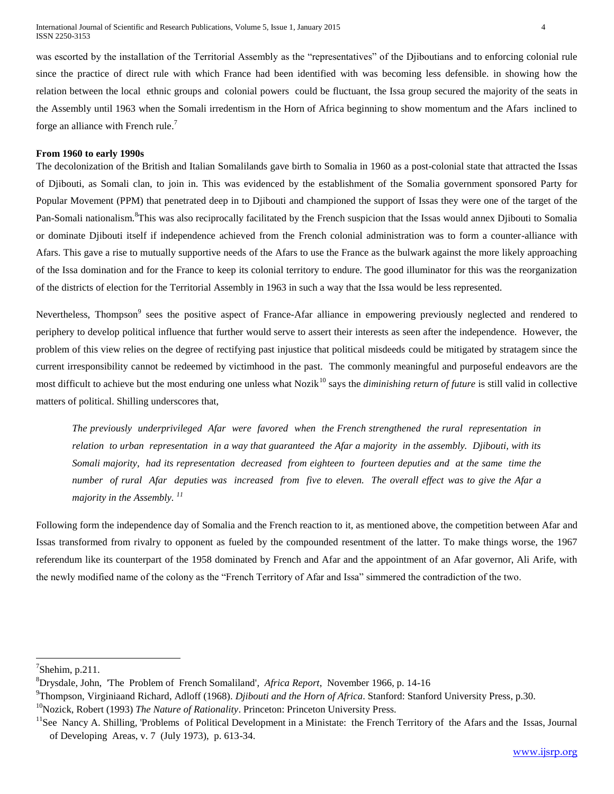was escorted by the installation of the Territorial Assembly as the "representatives" of the Djiboutians and to enforcing colonial rule since the practice of direct rule with which France had been identified with was becoming less defensible. in showing how the relation between the local ethnic groups and colonial powers could be fluctuant, the Issa group secured the majority of the seats in the Assembly until 1963 when the Somali irredentism in the Horn of Africa beginning to show momentum and the Afars inclined to forge an alliance with French rule.<sup>7</sup>

## **From 1960 to early 1990s**

The decolonization of the British and Italian Somalilands gave birth to Somalia in 1960 as a post-colonial state that attracted the Issas of Djibouti, as Somali clan, to join in. This was evidenced by the establishment of the Somalia government sponsored Party for Popular Movement (PPM) that penetrated deep in to Djibouti and championed the support of Issas they were one of the target of the Pan-Somali nationalism.<sup>8</sup>This was also reciprocally facilitated by the French suspicion that the Issas would annex Djibouti to Somalia or dominate Djibouti itself if independence achieved from the French colonial administration was to form a counter-alliance with Afars. This gave a rise to mutually supportive needs of the Afars to use the France as the bulwark against the more likely approaching of the Issa domination and for the France to keep its colonial territory to endure. The good illuminator for this was the reorganization of the districts of election for the Territorial Assembly in 1963 in such a way that the Issa would be less represented.

Nevertheless, Thompson<sup>9</sup> sees the positive aspect of France-Afar alliance in empowering previously neglected and rendered to periphery to develop political influence that further would serve to assert their interests as seen after the independence. However, the problem of this view relies on the degree of rectifying past injustice that political misdeeds could be mitigated by stratagem since the current irresponsibility cannot be redeemed by victimhood in the past. The commonly meaningful and purposeful endeavors are the most difficult to achieve but the most enduring one unless what Nozik<sup>10</sup> says the *diminishing return of future* is still valid in collective matters of political. Shilling underscores that,

*The previously underprivileged Afar were favored when the French strengthened the rural representation in relation to urban representation in a way that guaranteed the Afar a majority in the assembly. Djibouti, with its Somali majority, had its representation decreased from eighteen to fourteen deputies and at the same time the number of rural Afar deputies was increased from five to eleven. The overall effect was to give the Afar a majority in the Assembly. <sup>11</sup>*

Following form the independence day of Somalia and the French reaction to it, as mentioned above, the competition between Afar and Issas transformed from rivalry to opponent as fueled by the compounded resentment of the latter. To make things worse, the 1967 referendum like its counterpart of the 1958 dominated by French and Afar and the appointment of an Afar governor, Ali Arife, with the newly modified name of the colony as the "French Territory of Afar and Issa" simmered the contradiction of the two.

l

<sup>10</sup>Nozick, Robert (1993) *The Nature of Rationality*. Princeton: Princeton University Press.

 $7$ Shehim, p.211.

<sup>8</sup>Drysdale, John, 'The Problem of French Somaliland'*, Africa Report*, November 1966, p. 14-16

<sup>9</sup>Thompson, Virginiaand Richard, Adloff (1968). *Djibouti and the Horn of Africa*. Stanford: Stanford University Press, p.30.

<sup>&</sup>lt;sup>11</sup>See Nancy A. Shilling, 'Problems of Political Development in a Ministate: the French Territory of the Afars and the Issas, Journal of Developing Areas, v. 7 (July 1973), p. 613-34.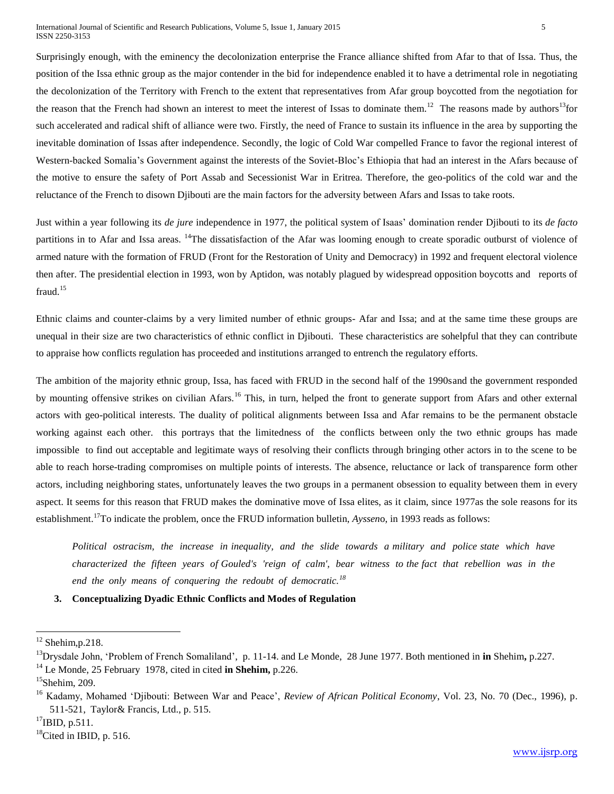Surprisingly enough, with the eminency the decolonization enterprise the France alliance shifted from Afar to that of Issa. Thus, the position of the Issa ethnic group as the major contender in the bid for independence enabled it to have a detrimental role in negotiating the decolonization of the Territory with French to the extent that representatives from Afar group boycotted from the negotiation for the reason that the French had shown an interest to meet the interest of Issas to dominate them.<sup>12</sup> The reasons made by authors<sup>13</sup>for such accelerated and radical shift of alliance were two. Firstly, the need of France to sustain its influence in the area by supporting the inevitable domination of Issas after independence. Secondly, the logic of Cold War compelled France to favor the regional interest of Western-backed Somalia's Government against the interests of the Soviet-Bloc's Ethiopia that had an interest in the Afars because of the motive to ensure the safety of Port Assab and Secessionist War in Eritrea. Therefore, the geo-politics of the cold war and the reluctance of the French to disown Djibouti are the main factors for the adversity between Afars and Issas to take roots.

Just within a year following its *de jure* independence in 1977, the political system of Isaas' domination render Djibouti to its *de facto* partitions in to Afar and Issa areas. <sup>14</sup>The dissatisfaction of the Afar was looming enough to create sporadic outburst of violence of armed nature with the formation of FRUD (Front for the Restoration of Unity and Democracy) in 1992 and frequent electoral violence then after. The presidential election in 1993, won by Aptidon, was notably plagued by widespread opposition boycotts and reports of fraud.<sup>15</sup>

Ethnic claims and counter-claims by a very limited number of ethnic groups- Afar and Issa; and at the same time these groups are unequal in their size are two characteristics of ethnic conflict in Djibouti. These characteristics are sohelpful that they can contribute to appraise how conflicts regulation has proceeded and institutions arranged to entrench the regulatory efforts.

The ambition of the majority ethnic group, Issa, has faced with FRUD in the second half of the 1990sand the government responded by mounting offensive strikes on civilian Afars.<sup>16</sup> This, in turn, helped the front to generate support from Afars and other external actors with geo-political interests. The duality of political alignments between Issa and Afar remains to be the permanent obstacle working against each other. this portrays that the limitedness of the conflicts between only the two ethnic groups has made impossible to find out acceptable and legitimate ways of resolving their conflicts through bringing other actors in to the scene to be able to reach horse-trading compromises on multiple points of interests. The absence, reluctance or lack of transparence form other actors, including neighboring states, unfortunately leaves the two groups in a permanent obsession to equality between them in every aspect. It seems for this reason that FRUD makes the dominative move of Issa elites, as it claim, since 1977as the sole reasons for its establishment. <sup>17</sup>To indicate the problem, once the FRUD information bulletin, *Ayssen*o, in 1993 reads as follows:

*Political ostracism, the increase in inequality, and the slide towards a military and police state which have characterized the fifteen years of Gouled's 'reign of calm', bear witness to the fact that rebellion was in the end the only means of conquering the redoubt of democratic.<sup>18</sup>*

## **3. Conceptualizing Dyadic Ethnic Conflicts and Modes of Regulation**

 $\overline{a}$ 

 $^{17}$ IBID, p.511.

 $12$  Shehim, p. 218.

<sup>13</sup>Drysdale John, 'Problem of French Somaliland', p. 11-14. and Le Monde, 28 June 1977. Both mentioned in **in** Shehim**,** p.227.

<sup>14</sup> Le Monde, 25 February 1978, cited in cited **in Shehim,** p.226.

 $15$ Shehim, 209.

<sup>&</sup>lt;sup>16</sup> Kadamy, Mohamed 'Djibouti: Between War and Peace', *Review of African Political Economy*, Vol. 23, No. 70 (Dec., 1996), p. 511-521, Taylor& Francis, Ltd., p. 515.

 $18$ Cited in IBID, p. 516.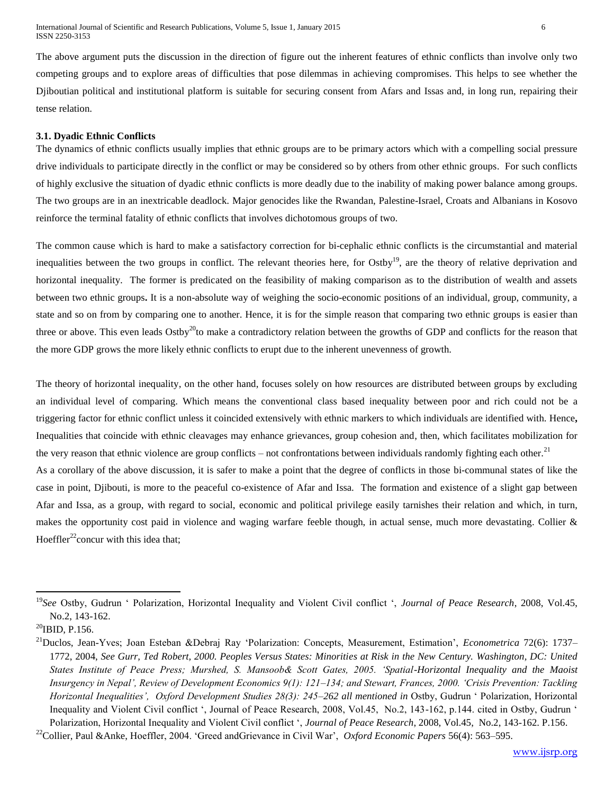The above argument puts the discussion in the direction of figure out the inherent features of ethnic conflicts than involve only two competing groups and to explore areas of difficulties that pose dilemmas in achieving compromises. This helps to see whether the Djiboutian political and institutional platform is suitable for securing consent from Afars and Issas and, in long run, repairing their tense relation.

## **3.1. Dyadic Ethnic Conflicts**

The dynamics of ethnic conflicts usually implies that ethnic groups are to be primary actors which with a compelling social pressure drive individuals to participate directly in the conflict or may be considered so by others from other ethnic groups. For such conflicts of highly exclusive the situation of dyadic ethnic conflicts is more deadly due to the inability of making power balance among groups. The two groups are in an inextricable deadlock. Major genocides like the Rwandan, Palestine-Israel, Croats and Albanians in Kosovo reinforce the terminal fatality of ethnic conflicts that involves dichotomous groups of two.

The common cause which is hard to make a satisfactory correction for bi-cephalic ethnic conflicts is the circumstantial and material inequalities between the two groups in conflict. The relevant theories here, for Ostby<sup>19</sup>, are the theory of relative deprivation and horizontal inequality. The former is predicated on the feasibility of making comparison as to the distribution of wealth and assets between two ethnic groups**.** It is a non-absolute way of weighing the socio-economic positions of an individual, group, community, a state and so on from by comparing one to another. Hence, it is for the simple reason that comparing two ethnic groups is easier than three or above. This even leads  $Ostby^{20}$  make a contradictory relation between the growths of GDP and conflicts for the reason that the more GDP grows the more likely ethnic conflicts to erupt due to the inherent unevenness of growth.

The theory of horizontal inequality, on the other hand, focuses solely on how resources are distributed between groups by excluding an individual level of comparing. Which means the conventional class based inequality between poor and rich could not be a triggering factor for ethnic conflict unless it coincided extensively with ethnic markers to which individuals are identified with. Hence**,**  Inequalities that coincide with ethnic cleavages may enhance grievances, group cohesion and, then, which facilitates mobilization for the very reason that ethnic violence are group conflicts – not confrontations between individuals randomly fighting each other.<sup>21</sup>

As a corollary of the above discussion, it is safer to make a point that the degree of conflicts in those bi-communal states of like the case in point, Djibouti, is more to the peaceful co-existence of Afar and Issa. The formation and existence of a slight gap between Afar and Issa, as a group, with regard to social, economic and political privilege easily tarnishes their relation and which, in turn, makes the opportunity cost paid in violence and waging warfare feeble though, in actual sense, much more devastating. Collier & Hoeffler<sup>22</sup>concur with this idea that:

<sup>19</sup>*See* Ostby, Gudrun ' Polarization, Horizontal Inequality and Violent Civil conflict ', *Journal of Peace Research*, 2008, Vol.45, No.2, 143-162.

 $^{20}$ IBID, P.156.

<sup>21</sup>Duclos, Jean-Yves; Joan Esteban &Debraj Ray 'Polarization: Concepts, Measurement, Estimation', *Econometrica* 72(6): 1737– 1772, 2004, *See Gurr, Ted Robert, 2000. Peoples Versus States: Minorities at Risk in the New Century. Washington, DC: United States Institute of Peace Press; Murshed, S. Mansoob& Scott Gates, 2005. 'Spatial-Horizontal Inequality and the Maoist Insurgency in Nepal', Review of Development Economics 9(1): 121–134; and Stewart, Frances, 2000. 'Crisis Prevention: Tackling Horizontal Inequalities', Oxford Development Studies 28(3): 245–262 all mentioned in* Ostby, Gudrun ' Polarization, Horizontal Inequality and Violent Civil conflict ', Journal of Peace Research, 2008, Vol.45, No.2, 143-162, p.144. cited in Ostby, Gudrun ' Polarization, Horizontal Inequality and Violent Civil conflict ', *Journal of Peace Research*, 2008, Vol.45, No.2, 143-162. P.156.

<sup>22</sup>Collier, Paul &Anke, Hoeffler, 2004. 'Greed andGrievance in Civil War', *Oxford Economic Papers* 56(4): 563–595.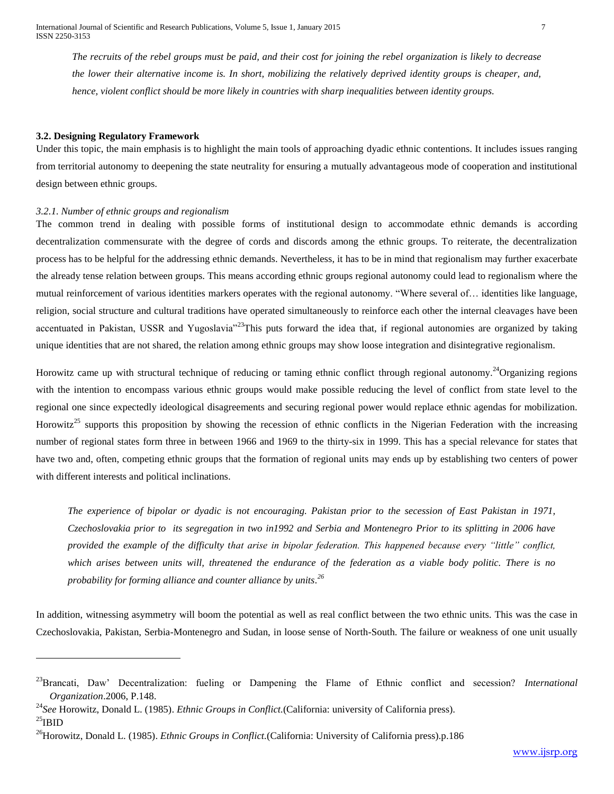*The recruits of the rebel groups must be paid, and their cost for joining the rebel organization is likely to decrease the lower their alternative income is. In short, mobilizing the relatively deprived identity groups is cheaper, and, hence, violent conflict should be more likely in countries with sharp inequalities between identity groups.*

## **3.2. Designing Regulatory Framework**

Under this topic, the main emphasis is to highlight the main tools of approaching dyadic ethnic contentions. It includes issues ranging from territorial autonomy to deepening the state neutrality for ensuring a mutually advantageous mode of cooperation and institutional design between ethnic groups.

#### *3.2.1. Number of ethnic groups and regionalism*

l

The common trend in dealing with possible forms of institutional design to accommodate ethnic demands is according decentralization commensurate with the degree of cords and discords among the ethnic groups. To reiterate, the decentralization process has to be helpful for the addressing ethnic demands. Nevertheless, it has to be in mind that regionalism may further exacerbate the already tense relation between groups. This means according ethnic groups regional autonomy could lead to regionalism where the mutual reinforcement of various identities markers operates with the regional autonomy. "Where several of… identities like language, religion, social structure and cultural traditions have operated simultaneously to reinforce each other the internal cleavages have been accentuated in Pakistan, USSR and Yugoslavia"<sup>23</sup>This puts forward the idea that, if regional autonomies are organized by taking unique identities that are not shared, the relation among ethnic groups may show loose integration and disintegrative regionalism.

Horowitz came up with structural technique of reducing or taming ethnic conflict through regional autonomy.<sup>24</sup>Organizing regions with the intention to encompass various ethnic groups would make possible reducing the level of conflict from state level to the regional one since expectedly ideological disagreements and securing regional power would replace ethnic agendas for mobilization. Horowitz<sup>25</sup> supports this proposition by showing the recession of ethnic conflicts in the Nigerian Federation with the increasing number of regional states form three in between 1966 and 1969 to the thirty-six in 1999. This has a special relevance for states that have two and, often, competing ethnic groups that the formation of regional units may ends up by establishing two centers of power with different interests and political inclinations.

*The experience of bipolar or dyadic is not encouraging. Pakistan prior to the secession of East Pakistan in 1971, Czechoslovakia prior to its segregation in two in1992 and Serbia and Montenegro Prior to its splitting in 2006 have provided the example of the difficulty that arise in bipolar federation. This happened because every "little" conflict, which arises between units will, threatened the endurance of the federation as a viable body politic. There is no probability for forming alliance and counter alliance by units. 26*

In addition, witnessing asymmetry will boom the potential as well as real conflict between the two ethnic units. This was the case in Czechoslovakia, Pakistan, Serbia-Montenegro and Sudan, in loose sense of North-South. The failure or weakness of one unit usually

<sup>23</sup>Brancati, Daw' Decentralization: fueling or Dampening the Flame of Ethnic conflict and secession? *International Organization*.2006, P.148.

<sup>24</sup>*See* Horowitz, Donald L. (1985). *Ethnic Groups in Conflict.*(California: university of California press).  $^{25}$ IBID

<sup>26</sup>Horowitz, Donald L. (1985). *Ethnic Groups in Conflict.*(California: University of California press).p.186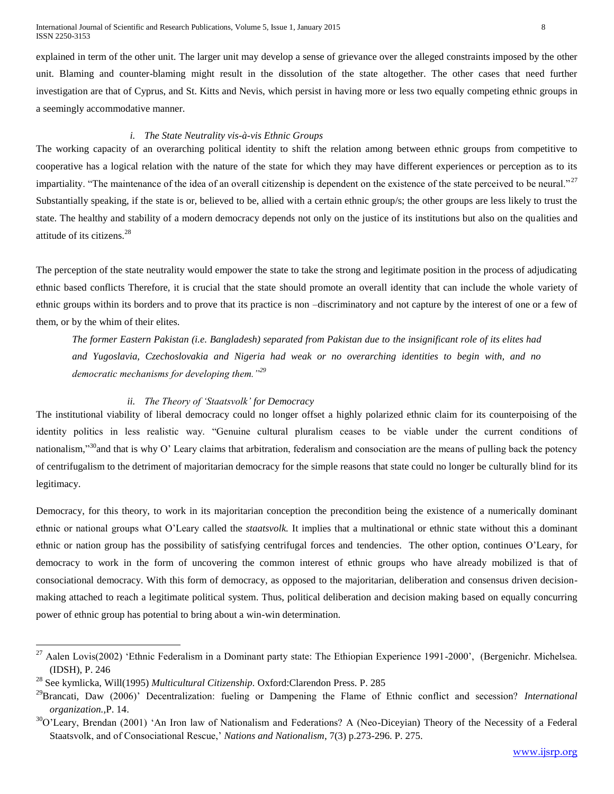International Journal of Scientific and Research Publications, Volume 5, Issue 1, January 2015 8 ISSN 2250-3153

explained in term of the other unit. The larger unit may develop a sense of grievance over the alleged constraints imposed by the other unit. Blaming and counter-blaming might result in the dissolution of the state altogether. The other cases that need further investigation are that of Cyprus, and St. Kitts and Nevis, which persist in having more or less two equally competing ethnic groups in a seemingly accommodative manner.

## *i. The State Neutrality vis-à-vis Ethnic Groups*

The working capacity of an overarching political identity to shift the relation among between ethnic groups from competitive to cooperative has a logical relation with the nature of the state for which they may have different experiences or perception as to its impartiality. "The maintenance of the idea of an overall citizenship is dependent on the existence of the state perceived to be neural."<sup>27</sup> Substantially speaking, if the state is or, believed to be, allied with a certain ethnic group/s; the other groups are less likely to trust the state. The healthy and stability of a modern democracy depends not only on the justice of its institutions but also on the qualities and attitude of its citizens.<sup>28</sup>

The perception of the state neutrality would empower the state to take the strong and legitimate position in the process of adjudicating ethnic based conflicts Therefore, it is crucial that the state should promote an overall identity that can include the whole variety of ethnic groups within its borders and to prove that its practice is non –discriminatory and not capture by the interest of one or a few of them, or by the whim of their elites.

*The former Eastern Pakistan (i.e. Bangladesh) separated from Pakistan due to the insignificant role of its elites had and Yugoslavia, Czechoslovakia and Nigeria had weak or no overarching identities to begin with, and no democratic mechanisms for developing them."<sup>29</sup>*

#### *ii. The Theory of 'Staatsvolk' for Democracy*

The institutional viability of liberal democracy could no longer offset a highly polarized ethnic claim for its counterpoising of the identity politics in less realistic way. "Genuine cultural pluralism ceases to be viable under the current conditions of nationalism,"<sup>30</sup>and that is why O' Leary claims that arbitration, federalism and consociation are the means of pulling back the potency of centrifugalism to the detriment of majoritarian democracy for the simple reasons that state could no longer be culturally blind for its legitimacy.

Democracy, for this theory, to work in its majoritarian conception the precondition being the existence of a numerically dominant ethnic or national groups what O'Leary called the *staatsvolk.* It implies that a multinational or ethnic state without this a dominant ethnic or nation group has the possibility of satisfying centrifugal forces and tendencies. The other option, continues O'Leary, for democracy to work in the form of uncovering the common interest of ethnic groups who have already mobilized is that of consociational democracy. With this form of democracy, as opposed to the majoritarian, deliberation and consensus driven decisionmaking attached to reach a legitimate political system. Thus, political deliberation and decision making based on equally concurring power of ethnic group has potential to bring about a win-win determination.

<sup>27</sup> Aalen Lovis(2002) 'Ethnic Federalism in a Dominant party state: The Ethiopian Experience 1991-2000', (Bergenichr. Michelsea. (IDSH), P. 246

<sup>28</sup> See kymlicka, Will(1995) *Multicultural Citizenship.* Oxford:Clarendon Press. P. 285

<sup>29</sup>Brancati, Daw (2006)' Decentralization: fueling or Dampening the Flame of Ethnic conflict and secession? *International organization.,*P. 14.

 $30$ O'Leary, Brendan (2001) 'An Iron law of Nationalism and Federations? A (Neo-Dicevian) Theory of the Necessity of a Federal Staatsvolk, and of Consociational Rescue,' *Nations and Nationalism*, 7(3) p.273-296. P. 275.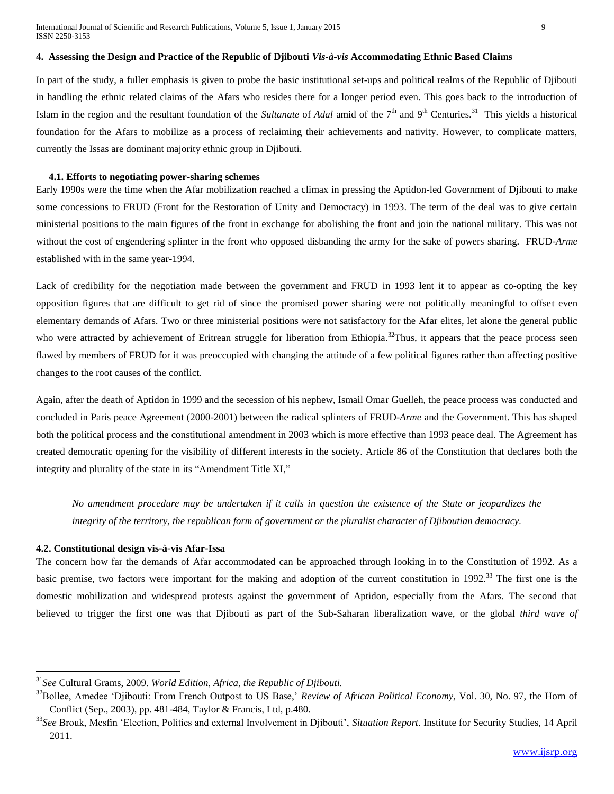# **4. Assessing the Design and Practice of the Republic of Djibouti** *Vis-à-vis* **Accommodating Ethnic Based Claims**

In part of the study, a fuller emphasis is given to probe the basic institutional set-ups and political realms of the Republic of Djibouti in handling the ethnic related claims of the Afars who resides there for a longer period even. This goes back to the introduction of Islam in the region and the resultant foundation of the *Sultanate* of *Adal* amid of the 7<sup>th</sup> and 9<sup>th</sup> Centuries.<sup>31</sup> This yields a historical foundation for the Afars to mobilize as a process of reclaiming their achievements and nativity. However, to complicate matters, currently the Issas are dominant majority ethnic group in Djibouti.

#### **4.1. Efforts to negotiating power-sharing schemes**

Early 1990s were the time when the Afar mobilization reached a climax in pressing the Aptidon-led Government of Djibouti to make some concessions to FRUD (Front for the Restoration of Unity and Democracy) in 1993. The term of the deal was to give certain ministerial positions to the main figures of the front in exchange for abolishing the front and join the national military. This was not without the cost of engendering splinter in the front who opposed disbanding the army for the sake of powers sharing. FRUD-*Arme* established with in the same year-1994.

Lack of credibility for the negotiation made between the government and FRUD in 1993 lent it to appear as co-opting the key opposition figures that are difficult to get rid of since the promised power sharing were not politically meaningful to offset even elementary demands of Afars. Two or three ministerial positions were not satisfactory for the Afar elites, let alone the general public who were attracted by achievement of Eritrean struggle for liberation from Ethiopia.<sup>32</sup>Thus, it appears that the peace process seen flawed by members of FRUD for it was preoccupied with changing the attitude of a few political figures rather than affecting positive changes to the root causes of the conflict.

Again, after the death of Aptidon in 1999 and the secession of his nephew, Ismail Omar Guelleh, the peace process was conducted and concluded in Paris peace Agreement (2000-2001) between the radical splinters of FRUD-*Arme* and the Government. This has shaped both the political process and the constitutional amendment in 2003 which is more effective than 1993 peace deal. The Agreement has created democratic opening for the visibility of different interests in the society. Article 86 of the Constitution that declares both the integrity and plurality of the state in its "Amendment Title XI,"

*No amendment procedure may be undertaken if it calls in question the existence of the State or jeopardizes the integrity of the territory, the republican form of government or the pluralist character of Djiboutian democracy.*

#### **4.2. Constitutional design vis-à-vis Afar-Issa**

 $\overline{\phantom{a}}$ 

The concern how far the demands of Afar accommodated can be approached through looking in to the Constitution of 1992. As a basic premise, two factors were important for the making and adoption of the current constitution in 1992.<sup>33</sup> The first one is the domestic mobilization and widespread protests against the government of Aptidon, especially from the Afars. The second that believed to trigger the first one was that Djibouti as part of the Sub-Saharan liberalization wave, or the global *third wave of* 

<sup>31</sup>*See* Cultural Grams, 2009. *World Edition, Africa, the Republic of Djibouti.*

<sup>&</sup>lt;sup>32</sup>Bollee, Amedee 'Djibouti: From French Outpost to US Base,' *Review of African Political Economy*, Vol. 30, No. 97, the Horn of Conflict (Sep., 2003), pp. 481-484, Taylor & Francis, Ltd, p.480.

<sup>33</sup>*See* Brouk, Mesfin 'Election, Politics and external Involvement in Djibouti', *Situation Report*. Institute for Security Studies, 14 April 2011.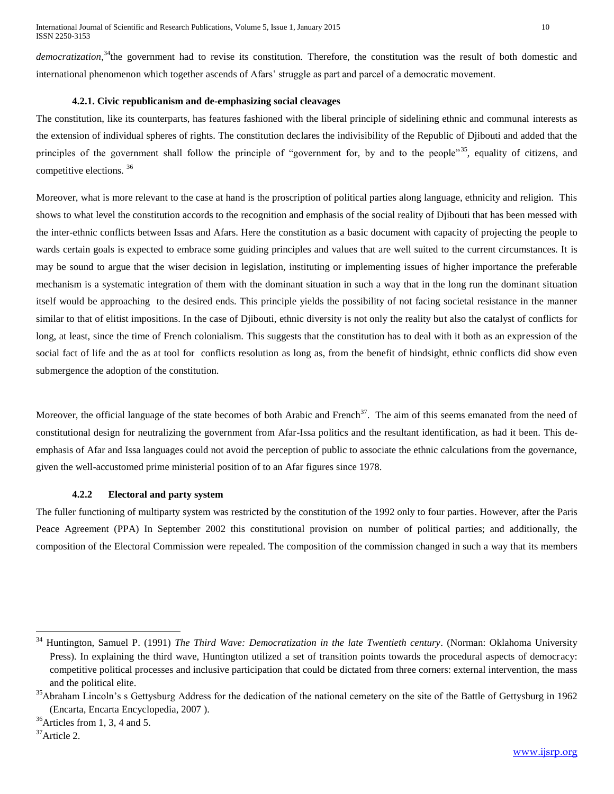democratization,<sup>34</sup>the government had to revise its constitution. Therefore, the constitution was the result of both domestic and international phenomenon which together ascends of Afars' struggle as part and parcel of a democratic movement.

## **4.2.1. Civic republicanism and de-emphasizing social cleavages**

The constitution, like its counterparts, has features fashioned with the liberal principle of sidelining ethnic and communal interests as the extension of individual spheres of rights. The constitution declares the indivisibility of the Republic of Djibouti and added that the principles of the government shall follow the principle of "government for, by and to the people"<sup>35</sup>, equality of citizens, and competitive elections. <sup>36</sup>

Moreover, what is more relevant to the case at hand is the proscription of political parties along language, ethnicity and religion. This shows to what level the constitution accords to the recognition and emphasis of the social reality of Djibouti that has been messed with the inter-ethnic conflicts between Issas and Afars. Here the constitution as a basic document with capacity of projecting the people to wards certain goals is expected to embrace some guiding principles and values that are well suited to the current circumstances. It is may be sound to argue that the wiser decision in legislation, instituting or implementing issues of higher importance the preferable mechanism is a systematic integration of them with the dominant situation in such a way that in the long run the dominant situation itself would be approaching to the desired ends. This principle yields the possibility of not facing societal resistance in the manner similar to that of elitist impositions. In the case of Djibouti, ethnic diversity is not only the reality but also the catalyst of conflicts for long, at least, since the time of French colonialism. This suggests that the constitution has to deal with it both as an expression of the social fact of life and the as at tool for conflicts resolution as long as, from the benefit of hindsight, ethnic conflicts did show even submergence the adoption of the constitution.

Moreover, the official language of the state becomes of both Arabic and French<sup>37</sup>. The aim of this seems emanated from the need of constitutional design for neutralizing the government from Afar-Issa politics and the resultant identification, as had it been*.* This deemphasis of Afar and Issa languages could not avoid the perception of public to associate the ethnic calculations from the governance, given the well-accustomed prime ministerial position of to an Afar figures since 1978.

## **4.2.2 Electoral and party system**

The fuller functioning of multiparty system was restricted by the constitution of the 1992 only to four parties. However, after the Paris Peace Agreement (PPA) In September 2002 this constitutional provision on number of political parties; and additionally, the composition of the Electoral Commission were repealed. The composition of the commission changed in such a way that its members

<sup>34</sup> Huntington, Samuel P. (1991) *The Third Wave: Democratization in the late Twentieth century*. (Norman: Oklahoma University Press). In explaining the third wave, Huntington utilized a set of transition points towards the procedural aspects of democracy: competitive political processes and inclusive participation that could be dictated from three corners: external intervention, the mass and the political elite.

<sup>&</sup>lt;sup>35</sup>Abraham Lincoln's s Gettysburg Address for the dedication of the national cemetery on the site of the Battle of Gettysburg in 1962 (Encarta, Encarta Encyclopedia, 2007 ).

 $36$ Articles from 1, 3, 4 and 5.

<sup>37</sup>Article 2.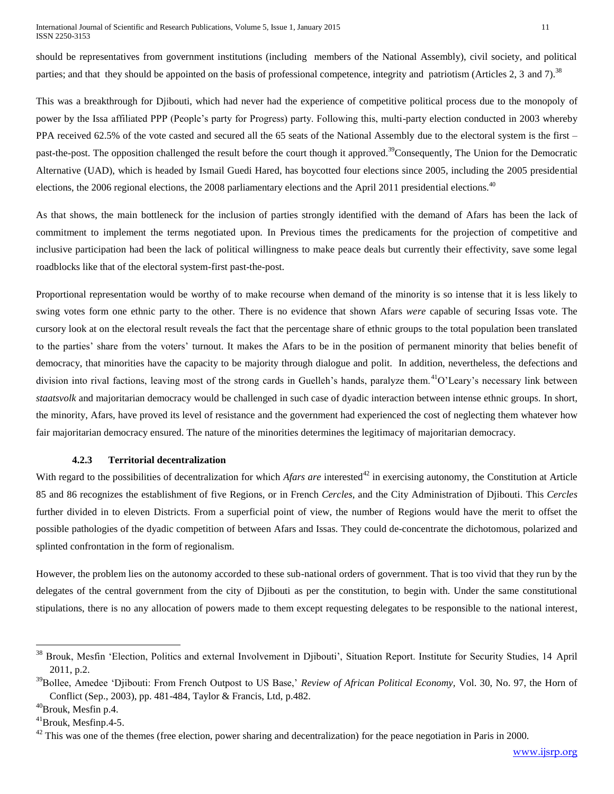should be representatives from government institutions (including members of the National Assembly), civil society, and political parties; and that they should be appointed on the basis of professional competence, integrity and patriotism (Articles 2, 3 and 7).<sup>38</sup>

This was a breakthrough for Djibouti, which had never had the experience of competitive political process due to the monopoly of power by the Issa affiliated PPP (People's party for Progress) party. Following this, multi-party election conducted in 2003 whereby PPA received 62.5% of the vote casted and secured all the 65 seats of the National Assembly due to the electoral system is the first – past-the-post. The opposition challenged the result before the court though it approved.<sup>39</sup>Consequently, The Union for the Democratic Alternative (UAD), which is headed by Ismail Guedi Hared, has boycotted four elections since 2005, including the 2005 presidential elections, the 2006 regional elections, the 2008 parliamentary elections and the April 2011 presidential elections.<sup>40</sup>

As that shows, the main bottleneck for the inclusion of parties strongly identified with the demand of Afars has been the lack of commitment to implement the terms negotiated upon. In Previous times the predicaments for the projection of competitive and inclusive participation had been the lack of political willingness to make peace deals but currently their effectivity, save some legal roadblocks like that of the electoral system-first past-the-post.

Proportional representation would be worthy of to make recourse when demand of the minority is so intense that it is less likely to swing votes form one ethnic party to the other. There is no evidence that shown Afars *were* capable of securing Issas vote. The cursory look at on the electoral result reveals the fact that the percentage share of ethnic groups to the total population been translated to the parties' share from the voters' turnout. It makes the Afars to be in the position of permanent minority that belies benefit of democracy, that minorities have the capacity to be majority through dialogue and polit. In addition, nevertheless, the defections and division into rival factions, leaving most of the strong cards in Guelleh's hands, paralyze them.<sup>41</sup>O'Leary's necessary link between *staatsvolk* and majoritarian democracy would be challenged in such case of dyadic interaction between intense ethnic groups. In short, the minority, Afars*,* have proved its level of resistance and the government had experienced the cost of neglecting them whatever how fair majoritarian democracy ensured. The nature of the minorities determines the legitimacy of majoritarian democracy.

## **4.2.3 Territorial decentralization**

With regard to the possibilities of decentralization for which *Afars are* interested<sup>42</sup> in exercising autonomy, the Constitution at Article 85 and 86 recognizes the establishment of five Regions, or in French *Cercles,* and the City Administration of Djibouti. This *Cercles* further divided in to eleven Districts. From a superficial point of view, the number of Regions would have the merit to offset the possible pathologies of the dyadic competition of between Afars and Issas. They could de-concentrate the dichotomous, polarized and splinted confrontation in the form of regionalism.

However, the problem lies on the autonomy accorded to these sub-national orders of government. That is too vivid that they run by the delegates of the central government from the city of Djibouti as per the constitution, to begin with. Under the same constitutional stipulations, there is no any allocation of powers made to them except requesting delegates to be responsible to the national interest,

<sup>38</sup> Brouk, Mesfin 'Election, Politics and external Involvement in Djibouti', Situation Report. Institute for Security Studies, 14 April 2011, p.2.

<sup>&</sup>lt;sup>39</sup>Bollee, Amedee 'Djibouti: From French Outpost to US Base,' *Review of African Political Economy*, Vol. 30, No. 97, the Horn of Conflict (Sep., 2003), pp. 481-484, Taylor & Francis, Ltd, p.482.

<sup>40</sup>Brouk, Mesfin p.4.

<sup>41</sup>Brouk, Mesfinp.4-5.

 $42$  This was one of the themes (free election, power sharing and decentralization) for the peace negotiation in Paris in 2000.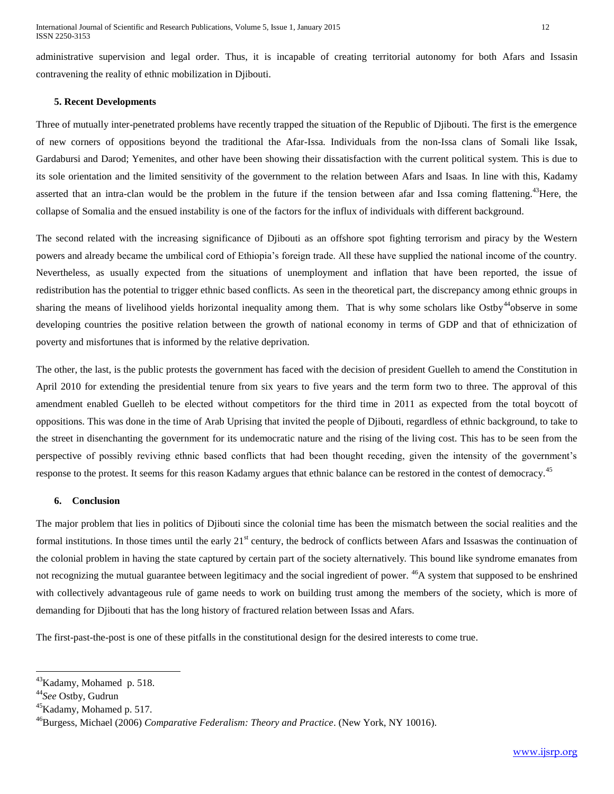administrative supervision and legal order. Thus, it is incapable of creating territorial autonomy for both Afars and Issa*s*in contravening the reality of ethnic mobilization in Djibouti.

## **5. Recent Developments**

Three of mutually inter-penetrated problems have recently trapped the situation of the Republic of Djibouti. The first is the emergence of new corners of oppositions beyond the traditional the Afar-Issa*.* Individuals from the non-Issa clans of Somali like Issak, Gardabursi and Darod; Yemenites, and other have been showing their dissatisfaction with the current political system. This is due to its sole orientation and the limited sensitivity of the government to the relation between Afars and Isaas*.* In line with this, Kadamy asserted that an intra-clan would be the problem in the future if the tension between afar and Issa coming flattening.<sup>43</sup>Here, the collapse of Somalia and the ensued instability is one of the factors for the influx of individuals with different background.

The second related with the increasing significance of Djibouti as an offshore spot fighting terrorism and piracy by the Western powers and already became the umbilical cord of Ethiopia's foreign trade. All these have supplied the national income of the country. Nevertheless, as usually expected from the situations of unemployment and inflation that have been reported, the issue of redistribution has the potential to trigger ethnic based conflicts. As seen in the theoretical part, the discrepancy among ethnic groups in sharing the means of livelihood yields horizontal inequality among them. That is why some scholars like Ostby<sup>44</sup>observe in some developing countries the positive relation between the growth of national economy in terms of GDP and that of ethnicization of poverty and misfortunes that is informed by the relative deprivation.

The other, the last, is the public protests the government has faced with the decision of president Guelleh to amend the Constitution in April 2010 for extending the presidential tenure from six years to five years and the term form two to three. The approval of this amendment enabled Guelleh to be elected without competitors for the third time in 2011 as expected from the total boycott of oppositions. This was done in the time of Arab Uprising that invited the people of Djibouti, regardless of ethnic background, to take to the street in disenchanting the government for its undemocratic nature and the rising of the living cost. This has to be seen from the perspective of possibly reviving ethnic based conflicts that had been thought receding, given the intensity of the government's response to the protest. It seems for this reason Kadamy argues that ethnic balance can be restored in the contest of democracy.<sup>45</sup>

#### **6. Conclusion**

The major problem that lies in politics of Djibouti since the colonial time has been the mismatch between the social realities and the formal institutions. In those times until the early  $21<sup>st</sup>$  century, the bedrock of conflicts between Afars and Issaswas the continuation of the colonial problem in having the state captured by certain part of the society alternatively*.* This bound like syndrome emanates from not recognizing the mutual guarantee between legitimacy and the social ingredient of power. <sup>46</sup>A system that supposed to be enshrined with collectively advantageous rule of game needs to work on building trust among the members of the society, which is more of demanding for Djibouti that has the long history of fractured relation between Issas and Afars.

The first-past-the-post is one of these pitfalls in the constitutional design for the desired interests to come true.

 $\overline{\phantom{a}}$ <sup>43</sup>Kadamy, Mohamed p. 518.

<sup>44</sup>*See* Ostby, Gudrun

<sup>&</sup>lt;sup>45</sup>Kadamy, Mohamed p. 517.

<sup>46</sup>Burgess, Michael (2006) *Comparative Federalism: Theory and Practice*. (New York, NY 10016).